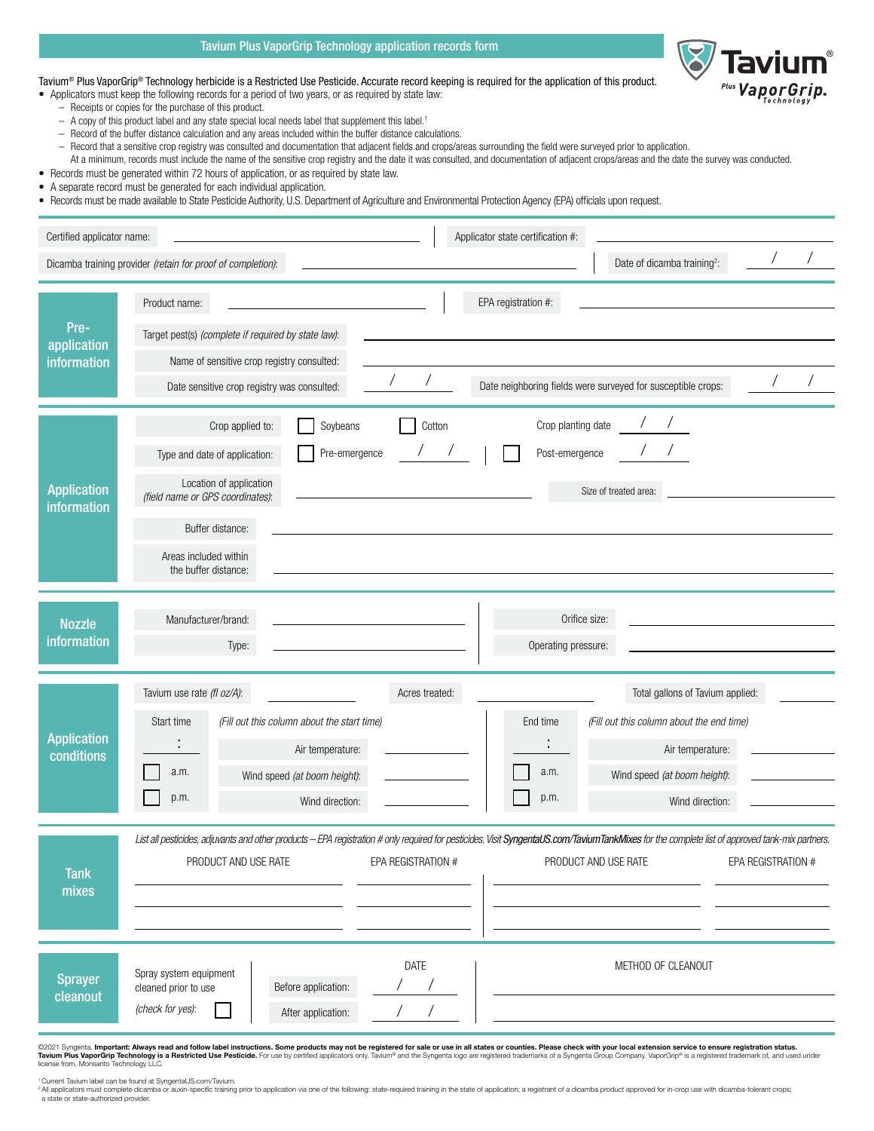

## Tavium Plus VaporGrip Technology application records form

| Tavium® Plus VaporGrip® Technology herbicide is a Restricted Use Pesticide. Accurate record keeping is required for the application of this product. |  |  |
|------------------------------------------------------------------------------------------------------------------------------------------------------|--|--|
|                                                                                                                                                      |  |  |
|                                                                                                                                                      |  |  |

• Applicators must keep the following records for a period of two years, or as required by state law:

- Receipts or copies for the purchase of this product.
- A copy of this product label and any state special local needs label that supplement this label.1
- Record of the buffer distance calculation and any areas included within the buffer distance calculations.
- Record that a sensitive crop registry was consulted and documentation that adjacent fields and crops/areas surrounding the field were surveyed prior to application.
- At a minimum, records must include the name of the sensitive crop registry and the date it was consulted, and documentation of adjacent crops/areas and the date the survey was conducted.
- Records must be generated within 72 hours of application, or as required by state law.
- A separate record must be generated for each individual application.
- Records must be made available to State Pesticide Authority, U.S. Department of Agriculture and Environmental Protection Agency (EPA) officials upon request.

| Certified applicator name:         | Applicator state certification #:                                                                                                                                                                                                                                                                                                                                                    |  |
|------------------------------------|--------------------------------------------------------------------------------------------------------------------------------------------------------------------------------------------------------------------------------------------------------------------------------------------------------------------------------------------------------------------------------------|--|
|                                    | Date of dicamba training <sup>2</sup> :<br>Dicamba training provider (retain for proof of completion):                                                                                                                                                                                                                                                                               |  |
| Pre-<br>application<br>information | Product name:<br>EPA registration #:<br>Target pest(s) (complete if required by state law):<br>Name of sensitive crop registry consulted:<br>Date neighboring fields were surveyed for susceptible crops:<br>Date sensitive crop registry was consulted:                                                                                                                             |  |
| <b>Application</b><br>information  | Crop planting date<br>Crop applied to:<br>Soybeans<br>Cotton<br>Post-emergence<br>Pre-emergence<br>Type and date of application:<br>Location of application<br>Size of treated area:<br>(field name or GPS coordinates):<br>Buffer distance:<br>Areas included within<br>the buffer distance:                                                                                        |  |
| <b>Nozzle</b><br>information       | Manufacturer/brand:<br>Orifice size:<br>Operating pressure:<br>Type:                                                                                                                                                                                                                                                                                                                 |  |
| <b>Application</b><br>conditions   | Tavium use rate (fl oz/A):<br>Acres treated:<br>Total gallons of Tavium applied:<br>Start time<br>End time<br>(Fill out this column about the start time)<br>(Fill out this column about the end time)<br>Air temperature:<br>Air temperature:<br>a.m.<br>a.m.<br>Wind speed (at boom height):<br>Wind speed (at boom height):<br>p.m.<br>p.m.<br>Wind direction:<br>Wind direction: |  |
| <b>Tank</b><br>mixes               | List all pesticides, adjuvants and other products - EPA registration # only required for pesticides. Visit SyngentaUS.com/TaviumTankMixes for the complete list of approved tank-mix partners.<br>PRODUCT AND USE RATE<br>PRODUCT AND USE RATE<br>EPA REGISTRATION #<br><b>EPA REGISTRATION #</b>                                                                                    |  |
| <b>Sprayer</b><br>cleanout         | DATE<br>METHOD OF CLEANOUT<br>Spray system equipment<br>Before application:<br>cleaned prior to use<br>(check for yes):<br>After application:<br>@2021 Syngenta. Important: Always read and follow label instructions. Some products may not be registered for sale or use in all states or counties. Please check with your local extension service to ensure registration sta      |  |

©2021 Syngenta. Important: Always read and follow label instructions. Some products may not be registered for sale or use in all states or counties. Please check with your local extension service to ensure registration sta license from, Monsanto Technology LLC.

' Current Tavium label can be found at SyngentaUS.com/Tavium.<br>\*All applicators must complete dicamba or auxin-specific training prior to application via one of the following: state-required training in the state of applica